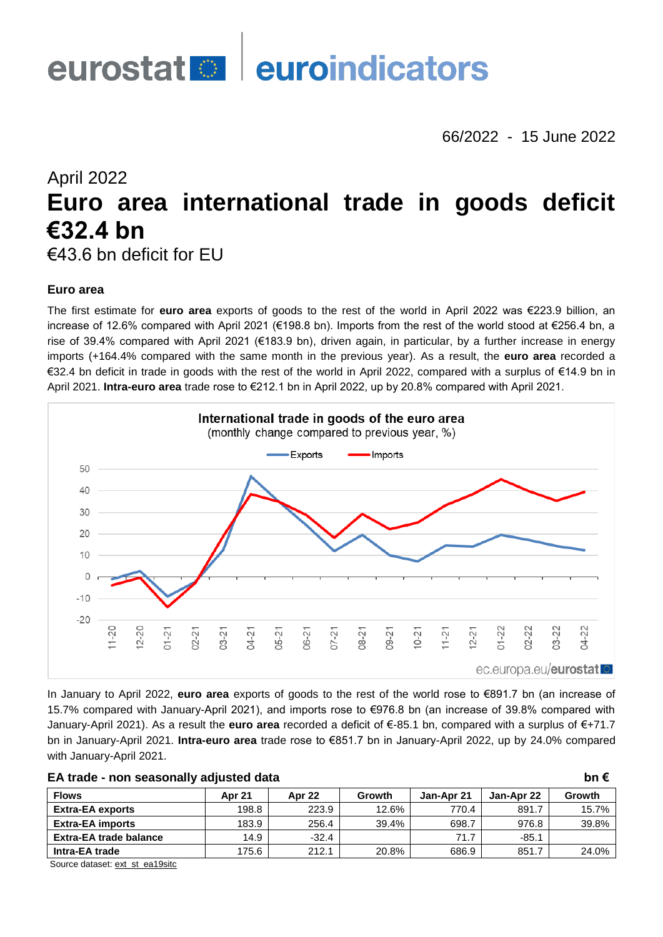

66/2022 - 15 June 2022

# April 2022 **Euro area international trade in goods deficit €32.4 bn**

€43.6 bn deficit for EU

# **Euro area**

The first estimate for **euro area** exports of goods to the rest of the world in April 2022 was €223.9 billion, an increase of 12.6% compared with April 2021 (€198.8 bn). Imports from the rest of the world stood at €256.4 bn, a rise of 39.4% compared with April 2021 (€183.9 bn), driven again, in particular, by a further increase in energy imports (+164.4% compared with the same month in the previous year). As a result, the **euro area** recorded a €32.4 bn deficit in trade in goods with the rest of the world in April 2022, compared with a surplus of €14.9 bn in April 2021. **Intra-euro area** trade rose to €212.1 bn in April 2022, up by 20.8% compared with April 2021.



In January to April 2022, **euro area** exports of goods to the rest of the world rose to €891.7 bn (an increase of 15.7% compared with January-April 2021), and imports rose to €976.8 bn (an increase of 39.8% compared with January-April 2021). As a result the **euro area** recorded a deficit of €-85.1 bn, compared with a surplus of €+71.7 bn in January-April 2021. **Intra-euro area** trade rose to €851.7 bn in January-April 2022, up by 24.0% compared with January-April 2021.

| EA trade - non seasonally adjusted data |               |         |        |            |            |        |  |  |  |  |  |  |
|-----------------------------------------|---------------|---------|--------|------------|------------|--------|--|--|--|--|--|--|
| <b>Flows</b>                            | <b>Apr 21</b> | Apr 22  | Growth | Jan-Apr 21 | Jan-Apr 22 | Growth |  |  |  |  |  |  |
| <b>Extra-EA exports</b>                 | 198.8         | 223.9   | 12.6%  | 770.4      | 891.7      | 15.7%  |  |  |  |  |  |  |
| <b>Extra-EA imports</b>                 | 183.9         | 256.4   | 39.4%  | 698.7      | 976.8      | 39.8%  |  |  |  |  |  |  |
| <b>Extra-EA trade balance</b>           | 14.9          | $-32.4$ |        | 71.7       | $-85.1$    |        |  |  |  |  |  |  |
| Intra-EA trade                          | 175.6         | 212.1   | 20.8%  | 686.9      | 851.7      | 24.0%  |  |  |  |  |  |  |

Source dataset[: ext\\_st\\_ea19sitc](https://ec.europa.eu/eurostat/databrowser/bookmark/7502e30e-ab15-48fd-ac70-df005ecba125?lang=en)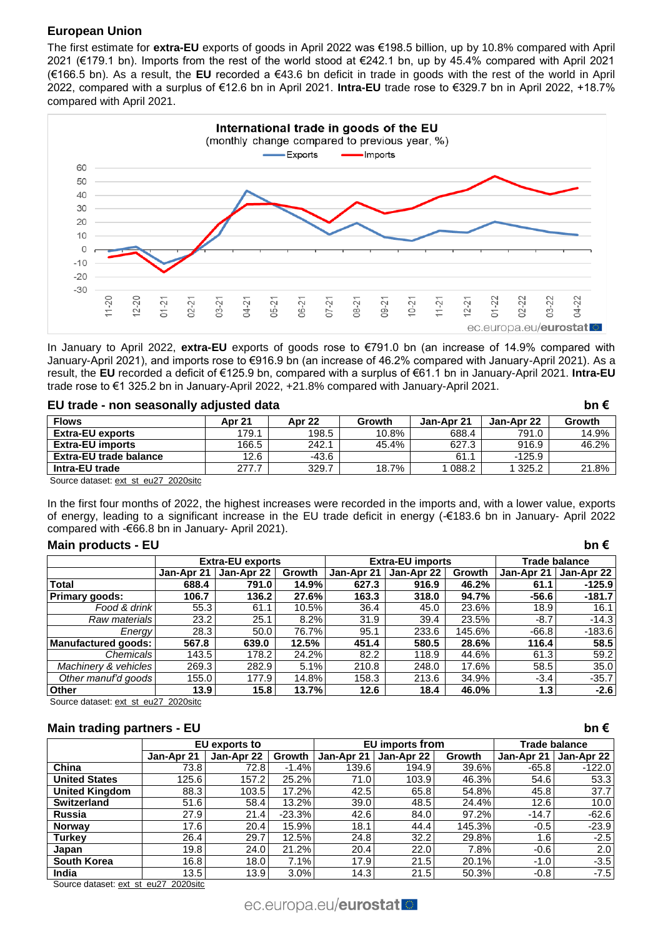# **European Union**

The first estimate for **extra-EU** exports of goods in April 2022 was €198.5 billion, up by 10.8% compared with April 2021 (€179.1 bn). Imports from the rest of the world stood at €242.1 bn, up by 45.4% compared with April 2021 (€166.5 bn). As a result, the **EU** recorded a €43.6 bn deficit in trade in goods with the rest of the world in April 2022, compared with a surplus of €12.6 bn in April 2021. **Intra-EU** trade rose to €329.7 bn in April 2022, +18.7% compared with April 2021.



In January to April 2022, **extra-EU** exports of goods rose to €791.0 bn (an increase of 14.9% compared with January-April 2021), and imports rose to €916.9 bn (an increase of 46.2% compared with January-April 2021). As a result, the **EU** recorded a deficit of €125.9 bn, compared with a surplus of €61.1 bn in January-April 2021. **Intra-EU** trade rose to €1 325.2 bn in January-April 2022, +21.8% compared with January-April 2021.

| EU trade - non seasonally adjusted data |        |               |        |            |            | bn $\epsilon$ |
|-----------------------------------------|--------|---------------|--------|------------|------------|---------------|
| <b>Flows</b>                            | Apr 21 | <b>Apr 22</b> | Growth | Jan-Apr 21 | Jan-Apr 22 | Growth        |
| <b>Extra-EU exports</b>                 | 179.1  | 198.5         | 10.8%  | 688.4      | 791.0      | 14.9%         |
| <b>Extra-EU imports</b>                 | 166.5  | 242.1         | 45.4%  | 627.3      | 916.9      | 46.2%         |
| <b>Extra-EU trade balance</b>           | 12.6   | $-43.6$       |        | 61.1       | $-125.9$   |               |
| Intra-EU trade                          | 277.7  | 329.7         | 18.7%  | 1 088.2    | 1 325.2    | 21.8%         |
| Source detect: out of ou?7 2020aite     |        |               |        |            |            |               |

Source dataset: [ext\\_st\\_eu27\\_2020sitc](https://ec.europa.eu/eurostat/databrowser/bookmark/43ce6c0c-6e72-4057-9a35-0abc949e4e4c?lang=en)

In the first four months of 2022, the highest increases were recorded in the imports and, with a lower value, exports of energy, leading to a significant increase in the EU trade deficit in energy (-€183.6 bn in January- April 2022 compared with -€66.8 bn in January- April 2021).

# **Main products - EU bn €**

|                       |            | <b>Extra-EU exports</b> |               |            | <b>Extra-EU imports</b> |        | Trade balance |            |  |
|-----------------------|------------|-------------------------|---------------|------------|-------------------------|--------|---------------|------------|--|
|                       | Jan-Apr 21 | Jan-Apr 22              | <b>Growth</b> | Jan-Apr 21 | Jan-Apr 22              | Growth | Jan-Apr 21    | Jan-Apr 22 |  |
| <b>Total</b>          | 688.4      | 791.0                   | 14.9%         | 627.3      | 916.9                   | 46.2%  | 61.1          | $-125.9$   |  |
| <b>Primary goods:</b> | 106.7      | 136.2                   | 27.6%         | 163.3      | 318.0                   | 94.7%  | $-56.6$       | $-181.7$   |  |
| Food & drinkl         | 55.3       | 61.1                    | 10.5%         | 36.4       | 45.0                    | 23.6%  | 18.9          | 16.1       |  |
| Raw materials         | 23.2       | 25.1                    | 8.2%          | 31.9       | 39.4                    | 23.5%  | $-8.7$        | $-14.3$    |  |
| Energy                | 28.3       | 50.0                    | 76.7%         | 95.1       | 233.6                   | 145.6% | $-66.8$       | $-183.6$   |  |
| Manufactured goods:   | 567.8      | 639.0                   | 12.5%         | 451.4      | 580.5                   | 28.6%  | 116.4         | 58.5       |  |
| Chemicals             | 143.5      | 178.2                   | 24.2%         | 82.2       | 118.9                   | 44.6%  | 61.3          | 59.2       |  |
| Machinery & vehicles  | 269.3      | 282.9                   | 5.1%          | 210.8      | 248.0                   | 17.6%  | 58.5          | 35.0       |  |
| Other manuf'd goods   | 155.0      | 177.9                   | 14.8%         | 158.3      | 213.6                   | 34.9%  | $-3.4$        | $-35.7$    |  |
| <b>Other</b>          | 13.9       | 15.8                    | 13.7%         | 12.6       | 18.4                    | 46.0%  | 1.3           | $-2.6$     |  |

Source dataset: [ext\\_st\\_eu27\\_2020sitc](https://ec.europa.eu/eurostat/databrowser/bookmark/eb5f22dd-9768-4797-bd10-2e833a9877d9?lang=en)

# **Main trading partners - EU bn €**

|                       |            | EU exports to |          |            | EU imports from |               | Trade balance |            |  |
|-----------------------|------------|---------------|----------|------------|-----------------|---------------|---------------|------------|--|
|                       | Jan-Apr 21 | Jan-Apr 22    | Growth   | Jan-Apr 21 | Jan-Apr 22      | <b>Growth</b> | Jan-Apr 21    | Jan-Apr 22 |  |
| China                 | 73.8       | 72.8          | $-1.4%$  | 139.6      | 194.9           | 39.6%         | $-65.8$       | $-122.0$   |  |
| <b>United States</b>  | 125.6      | 157.2         | 25.2%    | 71.0       | 103.9           | 46.3%         | 54.6          | 53.3       |  |
| <b>United Kingdom</b> | 88.3       | 103.5         | 17.2%    | 42.5       | 65.8            | 54.8%         | 45.8          | 37.7       |  |
| <b>Switzerland</b>    | 51.6       | 58.4          | 13.2%    | 39.0       | 48.5            | 24.4%         | 12.6          | 10.0       |  |
| <b>Russia</b>         | 27.9       | 21.4          | $-23.3%$ | 42.6       | 84.0            | 97.2%         | $-14.7$       | $-62.6$    |  |
| <b>Norway</b>         | 17.6       | 20.4          | 15.9%    | 18.1       | 44.4            | 145.3%        | $-0.5$        | $-23.9$    |  |
| <b>Turkey</b>         | 26.4       | 29.7          | 12.5%    | 24.8       | 32.2            | 29.8%         | 1.6           | $-2.5$     |  |
| Japan                 | 19.8       | 24.0          | 21.2%    | 20.4       | 22.0            | 7.8%          | $-0.6$        | 2.0        |  |
| <b>South Korea</b>    | 16.8       | 18.0          | 7.1%     | 17.9       | 21.5            | 20.1%         | $-1.0$        | $-3.5$     |  |
| India                 | 13.5       | 13.9          | 3.0%     | 14.3       | 21.5            | 50.3%         | $-0.8$        | $-7.5$     |  |

Source dataset: [ext\\_st\\_eu27\\_2020sitc](https://ec.europa.eu/eurostat/databrowser/bookmark/5ffa3b2b-d599-4941-bbe5-10246322c80d?lang=en)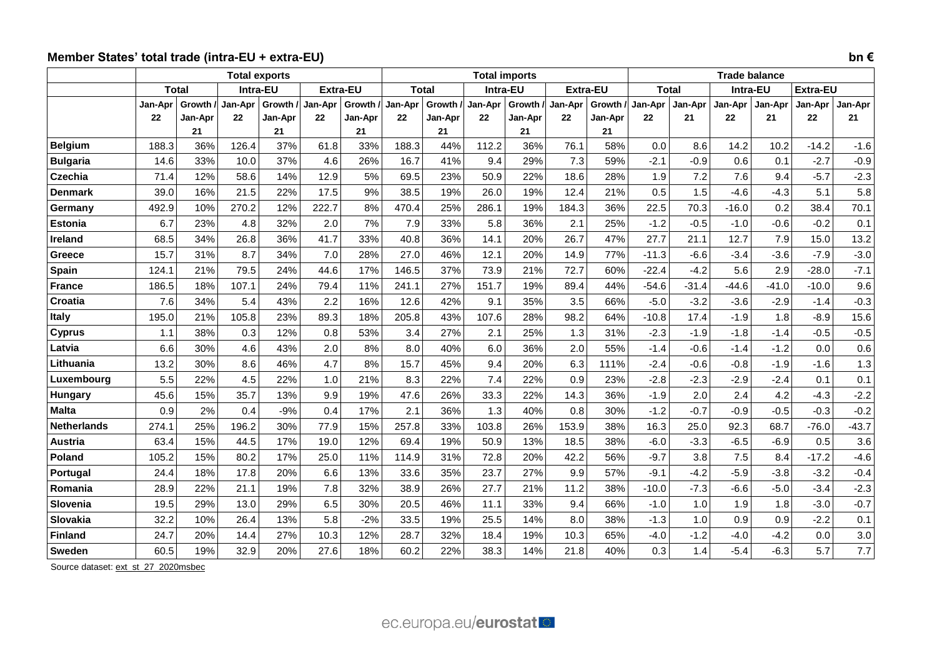# **Member States' total trade (intra-EU + extra-EU) bn €**

|                            | <b>Total exports</b> |              |               |           |                 |           |               |               | <b>Total imports</b> |           |             |                 | <b>Trade balance</b> |               |             |         |                   |                  |
|----------------------------|----------------------|--------------|---------------|-----------|-----------------|-----------|---------------|---------------|----------------------|-----------|-------------|-----------------|----------------------|---------------|-------------|---------|-------------------|------------------|
|                            |                      | <b>Total</b> | Intra-EU      |           | <b>Extra-EU</b> |           | <b>Total</b>  |               | Intra-EU             |           |             | <b>Extra-EU</b> | <b>Total</b>         |               | Intra-EU    |         | Extra-EU          |                  |
|                            | Jan-Apr              | Growth /     | Jan-Apr       | Growth /  | Jan-Apr         | Growth /  | Jan-Apr       | <b>Growth</b> | Jan-Apr              | Growth /  | Jan-Apr     | Growth /        | Jan-Apr              | Jan-Apr       | Jan-Apr     | Jan-Apr | Jan-Apr           | Jan-Apr          |
|                            | 22                   | Jan-Apr      | 22            | Jan-Apr   | 22              | Jan-Apr   | 22            | Jan-Apr       | 22                   | Jan-Apr   | 22          | Jan-Apr         | 22                   | 21            | 22          | 21      | 22                | 21               |
| <b>Belgium</b>             | 188.3                | 21           |               | 21<br>37% |                 | 21<br>33% |               | 21            |                      | 21<br>36% |             | 21              |                      |               |             | 10.2    |                   |                  |
|                            | 14.6                 | 36%<br>33%   | 126.4<br>10.0 | 37%       | 61.8            | 26%       | 188.3<br>16.7 | 44%<br>41%    | 112.2<br>9.4         | 29%       | 76.1<br>7.3 | 58%<br>59%      | 0.0<br>$-2.1$        | 8.6<br>$-0.9$ | 14.2<br>0.6 | 0.1     | $-14.2$<br>$-2.7$ | $-1.6$           |
| <b>Bulgaria</b><br>Czechia | 71.4                 | 12%          | 58.6          | 14%       | 4.6<br>12.9     | 5%        | 69.5          | 23%           | 50.9                 | 22%       | 18.6        | 28%             | 1.9                  | 7.2           | 7.6         | 9.4     | $-5.7$            | $-0.9$<br>$-2.3$ |
| Denmark                    | 39.0                 | 16%          | 21.5          | 22%       | 17.5            | 9%        | 38.5          | 19%           | 26.0                 | 19%       | 12.4        | 21%             | 0.5                  | 1.5           | $-4.6$      | $-4.3$  | 5.1               | 5.8              |
| Germany                    | 492.9                | 10%          | 270.2         | 12%       | 222.7           | 8%        | 470.4         | 25%           | 286.1                | 19%       | 184.3       | 36%             | 22.5                 | 70.3          | $-16.0$     | 0.2     | 38.4              | 70.1             |
| <b>Estonia</b>             | 6.7                  | 23%          | 4.8           | 32%       | 2.0             | 7%        | 7.9           | 33%           | 5.8                  | 36%       | 2.1         | 25%             | $-1.2$               | $-0.5$        | $-1.0$      | $-0.6$  | $-0.2$            | 0.1              |
| <b>Ireland</b>             | 68.5                 | 34%          | 26.8          | 36%       | 41.7            | 33%       | 40.8          | 36%           | 14.1                 | 20%       | 26.7        | 47%             | 27.7                 | 21.1          | 12.7        | 7.9     | 15.0              | 13.2             |
| Greece                     | 15.7                 | 31%          | 8.7           | 34%       | 7.0             | 28%       | 27.0          | 46%           | 12.1                 | 20%       | 14.9        | 77%             | $-11.3$              | $-6.6$        | $-3.4$      | $-3.6$  | $-7.9$            | $-3.0$           |
| Spain                      | 124.1                | 21%          | 79.5          | 24%       | 44.6            | 17%       | 146.5         | 37%           | 73.9                 | 21%       | 72.7        | 60%             | $-22.4$              | $-4.2$        | 5.6         | 2.9     | $-28.0$           | $-7.1$           |
| <b>France</b>              | 186.5                | 18%          | 107.1         | 24%       | 79.4            | 11%       | 241.1         | 27%           | 151.7                | 19%       | 89.4        | 44%             | $-54.6$              | $-31.4$       | $-44.6$     | $-41.0$ | $-10.0$           | 9.6              |
| Croatia                    | 7.6                  | 34%          | 5.4           | 43%       | 2.2             | 16%       | 12.6          | 42%           | 9.1                  | 35%       | 3.5         | 66%             | $-5.0$               | $-3.2$        | $-3.6$      | $-2.9$  | $-1.4$            | $-0.3$           |
| <b>Italy</b>               | 195.0                | 21%          | 105.8         | 23%       | 89.3            | 18%       | 205.8         | 43%           | 107.6                | 28%       | 98.2        | 64%             | $-10.8$              | 17.4          | $-1.9$      | 1.8     | $-8.9$            | 15.6             |
| <b>Cyprus</b>              | 1.1                  | 38%          | 0.3           | 12%       | 0.8             | 53%       | 3.4           | 27%           | 2.1                  | 25%       | 1.3         | 31%             | $-2.3$               | $-1.9$        | $-1.8$      | $-1.4$  | $-0.5$            | $-0.5$           |
| Latvia                     | 6.6                  | 30%          | 4.6           | 43%       | 2.0             | 8%        | 8.0           | 40%           | 6.0                  | 36%       | 2.0         | 55%             | $-1.4$               | $-0.6$        | $-1.4$      | $-1.2$  | 0.0               | 0.6              |
| Lithuania                  | 13.2                 | 30%          | 8.6           | 46%       | 4.7             | 8%        | 15.7          | 45%           | 9.4                  | 20%       | 6.3         | 111%            | $-2.4$               | $-0.6$        | $-0.8$      | $-1.9$  | $-1.6$            | 1.3              |
| Luxembourg                 | 5.5                  | 22%          | 4.5           | 22%       | 1.0             | 21%       | 8.3           | 22%           | 7.4                  | 22%       | 0.9         | 23%             | $-2.8$               | $-2.3$        | $-2.9$      | $-2.4$  | 0.1               | 0.1              |
| <b>Hungary</b>             | 45.6                 | 15%          | 35.7          | 13%       | 9.9             | 19%       | 47.6          | 26%           | 33.3                 | 22%       | 14.3        | 36%             | $-1.9$               | 2.0           | 2.4         | 4.2     | $-4.3$            | $-2.2$           |
| <b>Malta</b>               | 0.9                  | 2%           | 0.4           | $-9%$     | 0.4             | 17%       | 2.1           | 36%           | 1.3                  | 40%       | 0.8         | 30%             | $-1.2$               | $-0.7$        | $-0.9$      | $-0.5$  | $-0.3$            | $-0.2$           |
| <b>Netherlands</b>         | 274.1                | 25%          | 196.2         | 30%       | 77.9            | 15%       | 257.8         | 33%           | 103.8                | 26%       | 153.9       | 38%             | 16.3                 | 25.0          | 92.3        | 68.7    | $-76.0$           | $-43.7$          |
| <b>Austria</b>             | 63.4                 | 15%          | 44.5          | 17%       | 19.0            | 12%       | 69.4          | 19%           | 50.9                 | 13%       | 18.5        | 38%             | $-6.0$               | $-3.3$        | $-6.5$      | $-6.9$  | 0.5               | 3.6              |
| Poland                     | 105.2                | 15%          | 80.2          | 17%       | 25.0            | 11%       | 114.9         | 31%           | 72.8                 | 20%       | 42.2        | 56%             | $-9.7$               | 3.8           | 7.5         | 8.4     | $-17.2$           | $-4.6$           |
| Portugal                   | 24.4                 | 18%          | 17.8          | 20%       | 6.6             | 13%       | 33.6          | 35%           | 23.7                 | 27%       | 9.9         | 57%             | $-9.1$               | $-4.2$        | $-5.9$      | $-3.8$  | $-3.2$            | $-0.4$           |
| Romania                    | 28.9                 | 22%          | 21.1          | 19%       | 7.8             | 32%       | 38.9          | 26%           | 27.7                 | 21%       | 11.2        | 38%             | $-10.0$              | $-7.3$        | $-6.6$      | $-5.0$  | $-3.4$            | $-2.3$           |
| Slovenia                   | 19.5                 | 29%          | 13.0          | 29%       | 6.5             | 30%       | 20.5          | 46%           | 11.1                 | 33%       | 9.4         | 66%             | $-1.0$               | 1.0           | 1.9         | 1.8     | $-3.0$            | $-0.7$           |
| Slovakia                   | 32.2                 | 10%          | 26.4          | 13%       | 5.8             | $-2%$     | 33.5          | 19%           | 25.5                 | 14%       | 8.0         | 38%             | $-1.3$               | 1.0           | 0.9         | 0.9     | $-2.2$            | 0.1              |
| <b>Finland</b>             | 24.7                 | 20%          | 14.4          | 27%       | 10.3            | 12%       | 28.7          | 32%           | 18.4                 | 19%       | 10.3        | 65%             | $-4.0$               | $-1.2$        | $-4.0$      | $-4.2$  | 0.0               | 3.0              |
| Sweden                     | 60.5                 | 19%          | 32.9          | 20%       | 27.6            | 18%       | 60.2          | 22%           | 38.3                 | 14%       | 21.8        | 40%             | 0.3                  | 1.4           | $-5.4$      | $-6.3$  | 5.7               | 7.7              |

Source dataset[: ext\\_st\\_27\\_2020msbec](https://ec.europa.eu/eurostat/databrowser/bookmark/41735520-8c6a-46e0-85fe-2b0ee8ec6dab?lang=en)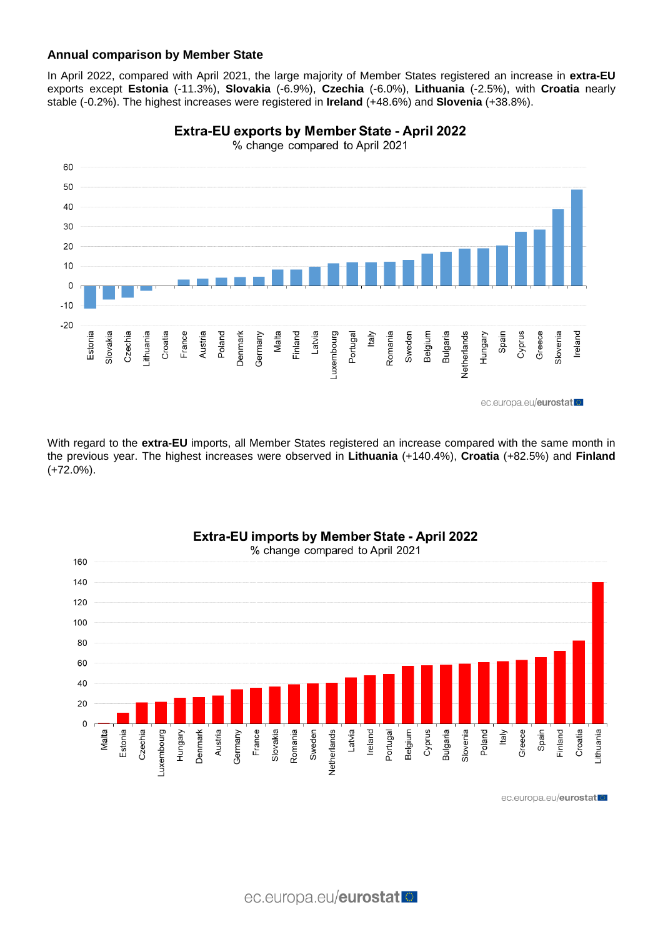# **Annual comparison by Member State**

In April 2022, compared with April 2021, the large majority of Member States registered an increase in **extra-EU** exports except **Estonia** (-11.3%), **Slovakia** (-6.9%), **Czechia** (-6.0%), **Lithuania** (-2.5%), with **Croatia** nearly stable (-0.2%). The highest increases were registered in **Ireland** (+48.6%) and **Slovenia** (+38.8%).



**Extra-EU exports by Member State - April 2022** 

% change compared to April 2021

With regard to the **extra-EU** imports, all Member States registered an increase compared with the same month in the previous year. The highest increases were observed in **Lithuania** (+140.4%), **Croatia** (+82.5%) and **Finland**  (+72.0%).



Extra-EU imports by Member State - April 2022

ec.europa.eu/eurostat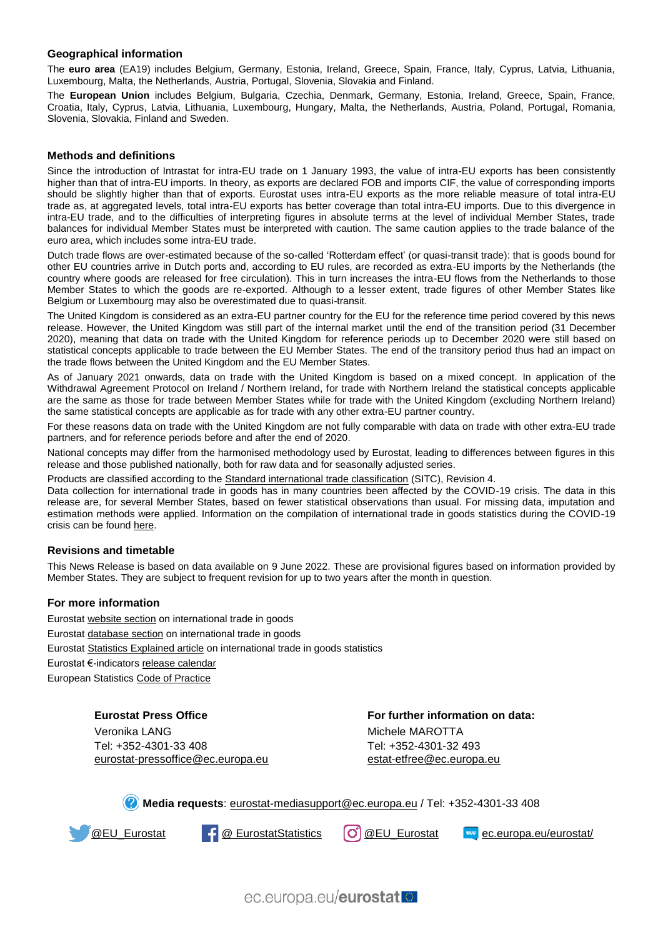#### **Geographical information**

The **euro area** (EA19) includes Belgium, Germany, Estonia, Ireland, Greece, Spain, France, Italy, Cyprus, Latvia, Lithuania, Luxembourg, Malta, the Netherlands, Austria, Portugal, Slovenia, Slovakia and Finland.

The **European Union** includes Belgium, Bulgaria, Czechia, Denmark, Germany, Estonia, Ireland, Greece, Spain, France, Croatia, Italy, Cyprus, Latvia, Lithuania, Luxembourg, Hungary, Malta, the Netherlands, Austria, Poland, Portugal, Romania, Slovenia, Slovakia, Finland and Sweden.

#### **Methods and definitions**

Since the introduction of Intrastat for intra-EU trade on 1 January 1993, the value of intra-EU exports has been consistently higher than that of intra-EU imports. In theory, as exports are declared FOB and imports CIF, the value of corresponding imports should be slightly higher than that of exports. Eurostat uses intra-EU exports as the more reliable measure of total intra-EU trade as, at aggregated levels, total intra-EU exports has better coverage than total intra-EU imports. Due to this divergence in intra-EU trade, and to the difficulties of interpreting figures in absolute terms at the level of individual Member States, trade balances for individual Member States must be interpreted with caution. The same caution applies to the trade balance of the euro area, which includes some intra-EU trade.

Dutch trade flows are over-estimated because of the so-called 'Rotterdam effect' (or quasi-transit trade): that is goods bound for other EU countries arrive in Dutch ports and, according to EU rules, are recorded as extra-EU imports by the Netherlands (the country where goods are released for free circulation). This in turn increases the intra-EU flows from the Netherlands to those Member States to which the goods are re-exported. Although to a lesser extent, trade figures of other Member States like Belgium or Luxembourg may also be overestimated due to quasi-transit.

The United Kingdom is considered as an extra-EU partner country for the EU for the reference time period covered by this news release. However, the United Kingdom was still part of the internal market until the end of the transition period (31 December 2020), meaning that data on trade with the United Kingdom for reference periods up to December 2020 were still based on statistical concepts applicable to trade between the EU Member States. The end of the transitory period thus had an impact on the trade flows between the United Kingdom and the EU Member States.

As of January 2021 onwards, data on trade with the United Kingdom is based on a mixed concept. In application of the Withdrawal Agreement Protocol on Ireland / Northern Ireland, for trade with Northern Ireland the statistical concepts applicable are the same as those for trade between Member States while for trade with the United Kingdom (excluding Northern Ireland) the same statistical concepts are applicable as for trade with any other extra-EU partner country.

For these reasons data on trade with the United Kingdom are not fully comparable with data on trade with other extra-EU trade partners, and for reference periods before and after the end of 2020.

National concepts may differ from the harmonised methodology used by Eurostat, leading to differences between figures in this release and those published nationally, both for raw data and for seasonally adjusted series.

Products are classified according to the [Standard international trade classification](https://ec.europa.eu/eurostat/statistics-explained/index.php/Glossary:Standard_international_trade_classification_(SITC)) (SITC), Revision 4.

Data collection for international trade in goods has in many countries been affected by the COVID-19 crisis. The data in this release are, for several Member States, based on fewer statistical observations than usual. For missing data, imputation and estimation methods were applied. Information on the compilation of international trade in goods statistics during the COVID-19 crisis can be found [here.](https://ec.europa.eu/eurostat/documents/10186/10693286/Intra-EU_trade_goods_guidance.pdf)

#### **Revisions and timetable**

This News Release is based on data available on 9 June 2022. These are provisional figures based on information provided by Member States. They are subject to frequent revision for up to two years after the month in question.

#### **For more information**

Eurosta[t website section](https://ec.europa.eu/eurostat/web/international-trade-in-goods/overview) on international trade in goods Eurosta[t database section](https://ec.europa.eu/eurostat/web/international-trade-in-goods/data/database) on international trade in goods Eurosta[t Statistics Explained article](https://ec.europa.eu/eurostat/statistics-explained/index.php/International_trade_statistics_-_background) on international trade in goods statistics Eurostat €-indicator[s release calendar](https://ec.europa.eu/eurostat/news/release-calendar) European Statistic[s Code of Practice](https://ec.europa.eu/eurostat/web/products-catalogues/-/KS-02-18-142)

**Eurostat Press Office**

Veronika LANG Tel: +352-4301-33 408 [eurostat-pressoffice@ec.europa.eu](mailto:eurostat-pressoffice@ec.europa.eu)

**For further information on data:** Michele MAROTTA Tel: +352-4301-32 493 estat-etfree@ec.europa.eu

**Media requests**: [eurostat-mediasupport@ec.europa.eu](mailto:eurostat-mediasupport@ec.europa.eu) / Tel: +352-4301-33 408



[@EU\\_Eurostat](https://twitter.com/EU_Eurostat) F @ [EurostatStatistics](https://www.facebook.com/EurostatStatistics)  $[O]$  [@EU\\_Eurostat](https://www.instagram.com/eu_eurostat/) and [ec.europa.eu/eurostat/](https://ec.europa.eu/eurostat/news/release-calendar)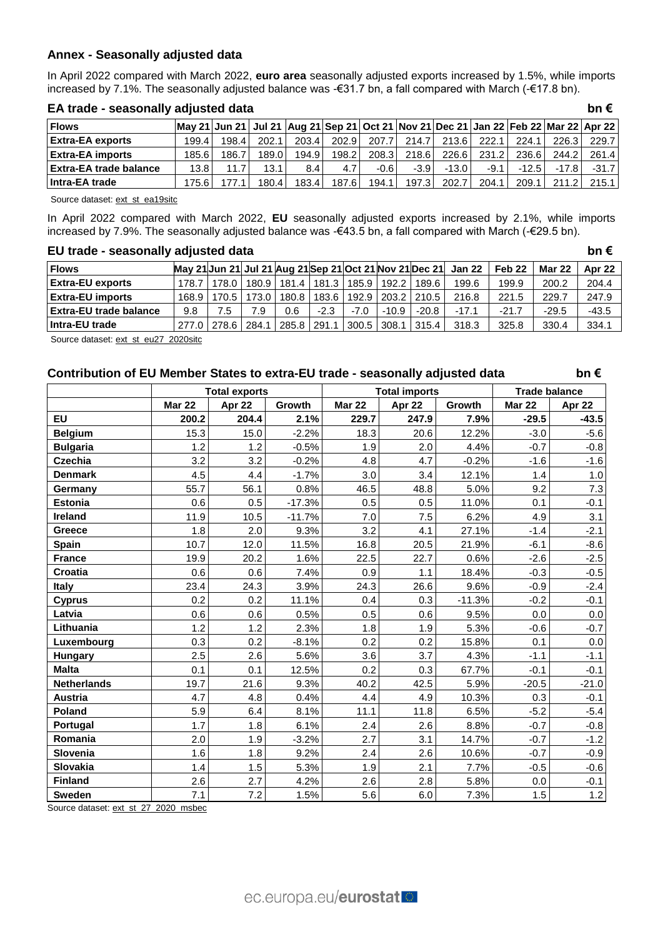# **Annex - Seasonally adjusted data**

In April 2022 compared with March 2022, **euro area** seasonally adjusted exports increased by 1.5%, while imports increased by 7.1%. The seasonally adjusted balance was -€31.7 bn, a fall compared with March (-€17.8 bn).

| <b>Flows</b>                  | May 21 Jun 21   Jul 21   Aug 21   Sep 21   Oct 21   Nov 21   Dec 21   Jan 22   Feb 22   Mar 22   Apr 22 |       |       |       |        |       |        |         |        |         |         |         |
|-------------------------------|---------------------------------------------------------------------------------------------------------|-------|-------|-------|--------|-------|--------|---------|--------|---------|---------|---------|
| <b>Extra-EA exports</b>       | 199.4                                                                                                   | 198.4 | 202.1 | 203.4 | 202.9  | 207.7 | 214.7  | 213.61  | 222.1  | 224.1   | 226.3   | 229.7   |
| <b>Extra-EA imports</b>       | 185.61                                                                                                  | 186.7 | 189.0 | 194.9 | 198.21 | 208.3 | 218.6  | 226.61  | 231.2  | 236.6   | 244.2   | 261.4   |
| <b>Extra-EA trade balance</b> | 13.81                                                                                                   | 11.7  | 13.1  | 8.4   | 4.7    | -0.6  | $-3.9$ | $-13.0$ | $-9.1$ | $-12.5$ | $-17.8$ | $-31.7$ |
| Intra-EA trade                | 175.61                                                                                                  |       | 180.4 | 183.4 | 187.6  | 194.1 | 197.3  | 202.7   | 204.1  | 209.1   | 211.2   | 215.1   |

# **EA trade - seasonally adjusted data bn €**

Source dataset: [ext\\_st\\_ea19sitc](https://ec.europa.eu/eurostat/databrowser/bookmark/57e1b094-c5e4-4e31-a997-0c5f5da2aab5?lang=en)

In April 2022 compared with March 2022, **EU** seasonally adjusted exports increased by 2.1%, while imports increased by 7.9%. The seasonally adjusted balance was -€43.5 bn, a fall compared with March (-€29.5 bn).

# **EU trade - seasonally adjusted data bn €**

| <b>Flows</b>            |         |             |       |               |        |               |               |         | May 21 Jun 21 Jul 21 Aug 21 Sep 21 Oct 21 Nov 21 Dec 21 Jan 22 | Feb 22  | <b>Mar 22</b> | <b>Apr 22</b> |
|-------------------------|---------|-------------|-------|---------------|--------|---------------|---------------|---------|----------------------------------------------------------------|---------|---------------|---------------|
| <b>Extra-EU exports</b> | 178.7   | 178.0       |       | 180.9   181.4 |        | 181.3   185.9 | 192.2         | 189.6   | 199.6                                                          | 199.9   | 200.2         | 204.4         |
| <b>Extra-EU imports</b> | 168.9 l | 170.5       | 173.0 | 180.8         | 183.6  |               | 192.9 203.2 l | 210.5   | 216.8                                                          | 221.5   | 229.7         | 247.9         |
| Extra-EU trade balance  | 9.8     | .5          | 7.9   | 0.6           | $-2.3$ | $-7.0$        | $-10.9$       | $-20.8$ | $-17.1$                                                        | $-21.7$ | $-29.5$       | $-43.5$       |
| Intra-EU trade          |         | 277.0 278.6 | 284.1 | 285.8 l       | 291.1  | 300.5 308.1   |               | 315.4   | 318.3                                                          | 325.8   | 330.4         | 334.1         |

Source dataset[: ext\\_st\\_eu27\\_2020sitc](https://ec.europa.eu/eurostat/databrowser/bookmark/aa1898ad-6e7f-41a6-814f-a8f395ef2022?lang=en)

# **Contribution of EU Member States to extra-EU trade - seasonally adjusted data bn €**

|                    |               | <b>Total exports</b> |          |               | <b>Total imports</b> |          | <b>Trade balance</b> |         |  |
|--------------------|---------------|----------------------|----------|---------------|----------------------|----------|----------------------|---------|--|
|                    | <b>Mar 22</b> | Apr 22               | Growth   | <b>Mar 22</b> | Apr 22               | Growth   | <b>Mar 22</b>        | Apr 22  |  |
| <b>EU</b>          | 200.2         | 204.4                | 2.1%     | 229.7         | 247.9                | 7.9%     | $-29.5$              | $-43.5$ |  |
| <b>Belgium</b>     | 15.3          | 15.0                 | $-2.2%$  | 18.3          | 20.6                 | 12.2%    | $-3.0$               | $-5.6$  |  |
| <b>Bulgaria</b>    | 1.2           | 1.2                  | $-0.5%$  | 1.9           | 2.0                  | 4.4%     | $-0.7$               | $-0.8$  |  |
| <b>Czechia</b>     | 3.2           | 3.2                  | $-0.2%$  | 4.8           | 4.7                  | $-0.2%$  | $-1.6$               | $-1.6$  |  |
| <b>Denmark</b>     | 4.5           | 4.4                  | $-1.7%$  | 3.0           | 3.4                  | 12.1%    | 1.4                  | $1.0\,$ |  |
| Germany            | 55.7          | 56.1                 | 0.8%     | 46.5          | 48.8                 | 5.0%     | 9.2                  | 7.3     |  |
| <b>Estonia</b>     | 0.6           | 0.5                  | $-17.3%$ | 0.5           | 0.5                  | 11.0%    | 0.1                  | $-0.1$  |  |
| Ireland            | 11.9          | 10.5                 | $-11.7%$ | 7.0           | 7.5                  | 6.2%     | 4.9                  | 3.1     |  |
| <b>Greece</b>      | 1.8           | 2.0                  | 9.3%     | 3.2           | 4.1                  | 27.1%    | $-1.4$               | $-2.1$  |  |
| Spain              | 10.7          | 12.0                 | 11.5%    | 16.8          | 20.5                 | 21.9%    | $-6.1$               | $-8.6$  |  |
| <b>France</b>      | 19.9          | 20.2                 | 1.6%     | 22.5          | 22.7                 | 0.6%     | $-2.6$               | $-2.5$  |  |
| Croatia            | 0.6           | 0.6                  | 7.4%     | 0.9           | 1.1                  | 18.4%    | $-0.3$               | $-0.5$  |  |
| <b>Italy</b>       | 23.4          | 24.3                 | 3.9%     | 24.3          | 26.6                 | 9.6%     | $-0.9$               | $-2.4$  |  |
| <b>Cyprus</b>      | 0.2           | 0.2                  | 11.1%    | 0.4           | 0.3                  | $-11.3%$ | $-0.2$               | $-0.1$  |  |
| Latvia             | 0.6           | 0.6                  | 0.5%     | 0.5           | 0.6                  | 9.5%     | 0.0                  | 0.0     |  |
| Lithuania          | 1.2           | 1.2                  | 2.3%     | 1.8           | 1.9                  | 5.3%     | $-0.6$               | $-0.7$  |  |
| Luxembourg         | 0.3           | 0.2                  | $-8.1%$  | 0.2           | 0.2                  | 15.8%    | 0.1                  | $0.0\,$ |  |
| Hungary            | 2.5           | 2.6                  | 5.6%     | 3.6           | 3.7                  | 4.3%     | $-1.1$               | $-1.1$  |  |
| <b>Malta</b>       | 0.1           | 0.1                  | 12.5%    | 0.2           | 0.3                  | 67.7%    | $-0.1$               | $-0.1$  |  |
| <b>Netherlands</b> | 19.7          | 21.6                 | 9.3%     | 40.2          | 42.5                 | 5.9%     | $-20.5$              | $-21.0$ |  |
| Austria            | 4.7           | 4.8                  | 0.4%     | 4.4           | 4.9                  | 10.3%    | 0.3                  | $-0.1$  |  |
| Poland             | 5.9           | 6.4                  | 8.1%     | 11.1          | 11.8                 | 6.5%     | $-5.2$               | $-5.4$  |  |
| Portugal           | 1.7           | 1.8                  | 6.1%     | 2.4           | 2.6                  | 8.8%     | $-0.7$               | $-0.8$  |  |
| Romania            | 2.0           | 1.9                  | $-3.2%$  | 2.7           | 3.1                  | 14.7%    | $-0.7$               | $-1.2$  |  |
| Slovenia           | 1.6           | 1.8                  | 9.2%     | 2.4           | 2.6                  | 10.6%    | $-0.7$               | $-0.9$  |  |
| Slovakia           | 1.4           | 1.5                  | 5.3%     | 1.9           | 2.1                  | 7.7%     | $-0.5$               | $-0.6$  |  |
| <b>Finland</b>     | 2.6           | 2.7                  | 4.2%     | 2.6           | 2.8                  | 5.8%     | 0.0                  | $-0.1$  |  |
| Sweden             | 7.1           | 7.2                  | 1.5%     | 5.6           | 6.0                  | 7.3%     | 1.5                  | 1.2     |  |

Source dataset: [ext\\_st\\_27\\_2020\\_msbec](https://ec.europa.eu/eurostat/databrowser/bookmark/517ff550-4ca0-4138-bbb7-adff88edb9bc?lang=en)